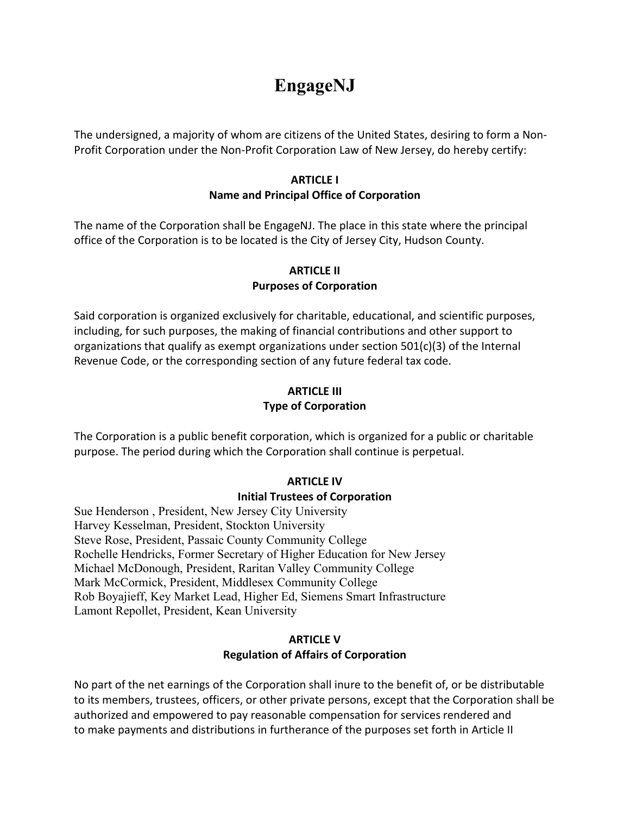# **EngageNJ**

The undersigned, a majority of whom are citizens of the United States, desiring to form a Non-Profit Corporation under the Non-Profit Corporation Law of New Jersey, do hereby certify:

#### **ARTICLE I Name and Principal Office of Corporation**

The name of the Corporation shall be EngageNJ. The place in this state where the principal office of the Corporation is to be located is the City of Jersey City, Hudson County.

## **ARTICLE II Purposes of Corporation**

Said corporation is organized exclusively for charitable, educational, and scientific purposes, including, for such purposes, the making of financial contributions and other support to organizations that qualify as exempt organizations under section 501(c)(3) of the Internal Revenue Code, or the corresponding section of any future federal tax code.

## **ARTICLE III Type of Corporation**

The Corporation is a public benefit corporation, which is organized for a public or charitable purpose. The period during which the Corporation shall continue is perpetual.

## **ARTICLE IV**

## **Initial Trustees of Corporation**

Sue Henderson , President, New Jersey City University Harvey Kesselman, President, Stockton University Steve Rose, President, Passaic County Community College Rochelle Hendricks, Former Secretary of Higher Education for New Jersey Michael McDonough, President, Raritan Valley Community College Mark McCormick, President, Middlesex Community College Rob Boyajieff, Key Market Lead, Higher Ed, Siemens Smart Infrastructure Lamont Repollet, President, Kean University

#### **ARTICLE V Regulation of Affairs of Corporation**

No part of the net earnings of the Corporation shall inure to the benefit of, or be distributable to its members, trustees, officers, or other private persons, except that the Corporation shall be authorized and empowered to pay reasonable compensation for services rendered and to make payments and distributions in furtherance of the purposes set forth in Article II